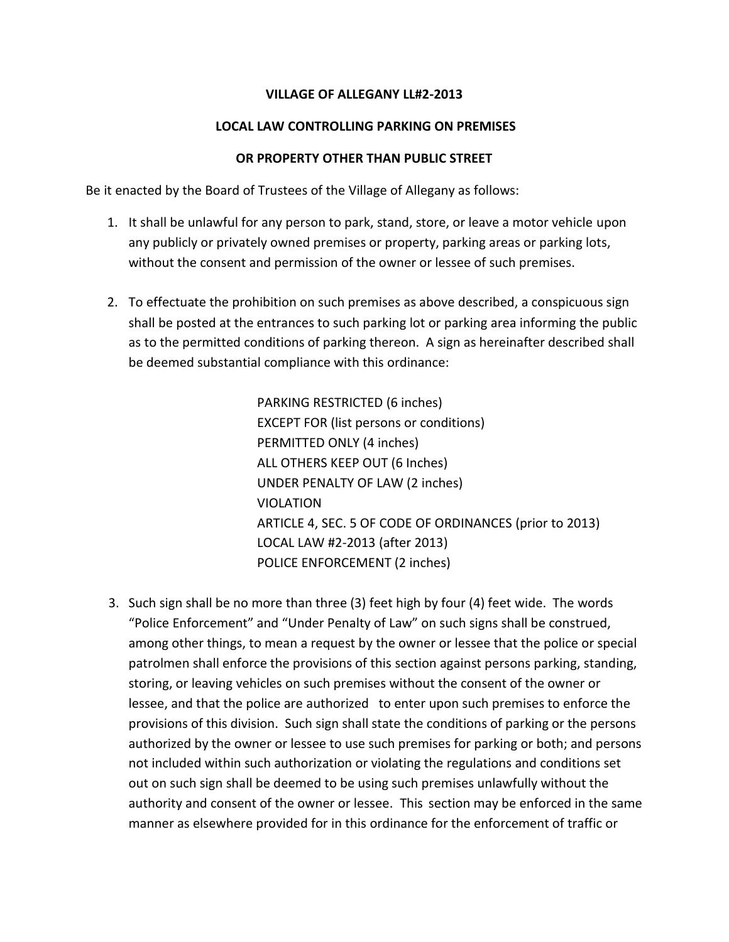## **VILLAGE OF ALLEGANY LL#2-2013**

## **LOCAL LAW CONTROLLING PARKING ON PREMISES**

#### **OR PROPERTY OTHER THAN PUBLIC STREET**

Be it enacted by the Board of Trustees of the Village of Allegany as follows:

- 1. It shall be unlawful for any person to park, stand, store, or leave a motor vehicle upon any publicly or privately owned premises or property, parking areas or parking lots, without the consent and permission of the owner or lessee of such premises.
- 2. To effectuate the prohibition on such premises as above described, a conspicuous sign shall be posted at the entrances to such parking lot or parking area informing the public as to the permitted conditions of parking thereon. A sign as hereinafter described shall be deemed substantial compliance with this ordinance:

PARKING RESTRICTED (6 inches) EXCEPT FOR (list persons or conditions) PERMITTED ONLY (4 inches) ALL OTHERS KEEP OUT (6 Inches) UNDER PENALTY OF LAW (2 inches) VIOLATION ARTICLE 4, SEC. 5 OF CODE OF ORDINANCES (prior to 2013) LOCAL LAW #2-2013 (after 2013) POLICE ENFORCEMENT (2 inches)

 3. Such sign shall be no more than three (3) feet high by four (4) feet wide. The words "Police Enforcement" and "Under Penalty of Law" on such signs shall be construed, among other things, to mean a request by the owner or lessee that the police or special patrolmen shall enforce the provisions of this section against persons parking, standing, storing, or leaving vehicles on such premises without the consent of the owner or lessee, and that the police are authorized to enter upon such premises to enforce the provisions of this division. Such sign shall state the conditions of parking or the persons authorized by the owner or lessee to use such premises for parking or both; and persons not included within such authorization or violating the regulations and conditions set out on such sign shall be deemed to be using such premises unlawfully without the authority and consent of the owner or lessee. This section may be enforced in the same manner as elsewhere provided for in this ordinance for the enforcement of traffic or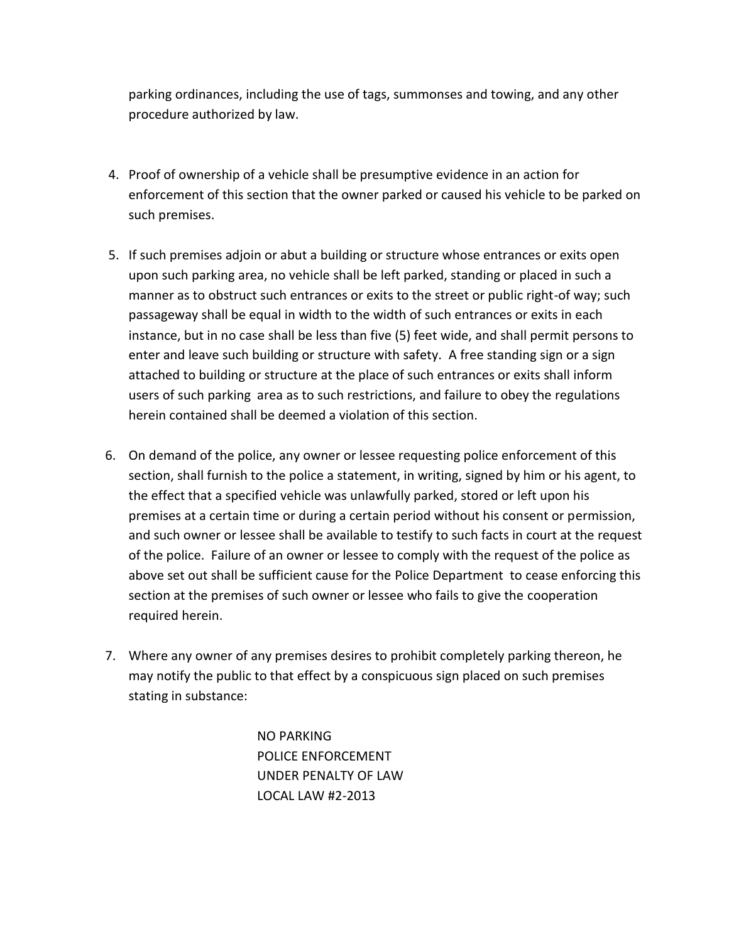parking ordinances, including the use of tags, summonses and towing, and any other procedure authorized by law.

- 4. Proof of ownership of a vehicle shall be presumptive evidence in an action for enforcement of this section that the owner parked or caused his vehicle to be parked on such premises.
- 5. If such premises adjoin or abut a building or structure whose entrances or exits open upon such parking area, no vehicle shall be left parked, standing or placed in such a manner as to obstruct such entrances or exits to the street or public right-of way; such passageway shall be equal in width to the width of such entrances or exits in each instance, but in no case shall be less than five (5) feet wide, and shall permit persons to enter and leave such building or structure with safety. A free standing sign or a sign attached to building or structure at the place of such entrances or exits shall inform users of such parking area as to such restrictions, and failure to obey the regulations herein contained shall be deemed a violation of this section.
- 6. On demand of the police, any owner or lessee requesting police enforcement of this section, shall furnish to the police a statement, in writing, signed by him or his agent, to the effect that a specified vehicle was unlawfully parked, stored or left upon his premises at a certain time or during a certain period without his consent or permission, and such owner or lessee shall be available to testify to such facts in court at the request of the police. Failure of an owner or lessee to comply with the request of the police as above set out shall be sufficient cause for the Police Department to cease enforcing this section at the premises of such owner or lessee who fails to give the cooperation required herein.
- 7. Where any owner of any premises desires to prohibit completely parking thereon, he may notify the public to that effect by a conspicuous sign placed on such premises stating in substance:

NO PARKING POLICE ENFORCEMENT UNDER PENALTY OF LAW LOCAL LAW #2-2013